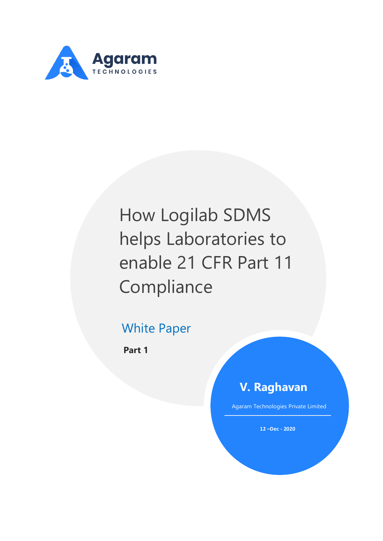

# How Logilab SDMS helps Laboratories to enable 21 CFR Part 11 Compliance

### White Paper

**Part 1**

### **V. Raghavan**

Agaram Technologies Private Limited

**12 –Dec - 2020**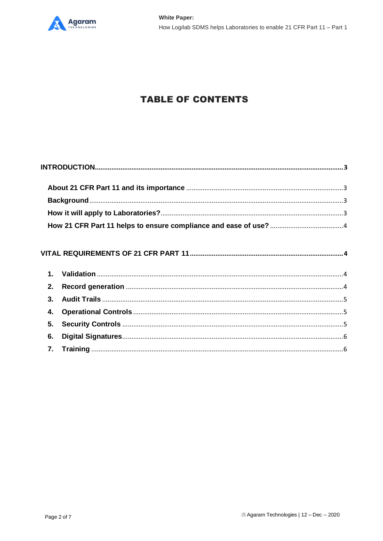

### **TABLE OF CONTENTS**

| $\mathbf{1}$ . |  |
|----------------|--|
| 2.             |  |
| 3.             |  |
| 4.             |  |
| 5 <sub>1</sub> |  |
| 6.             |  |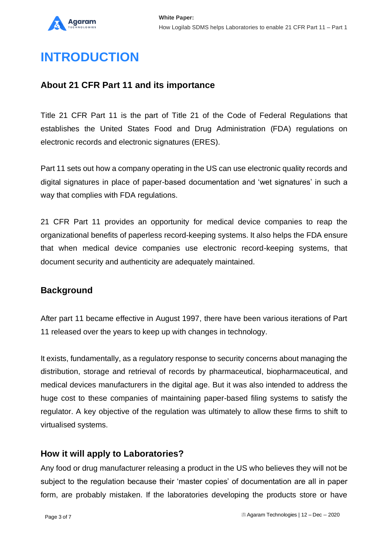

## <span id="page-2-0"></span>**INTRODUCTION**

### <span id="page-2-1"></span>**About 21 CFR Part 11 and its importance**

Title 21 CFR Part 11 is the part of Title 21 of the Code of Federal Regulations that establishes the United States Food and Drug Administration (FDA) regulations on electronic records and electronic signatures (ERES).

Part 11 sets out how a company operating in the US can use electronic quality records and digital signatures in place of paper-based documentation and 'wet signatures' in such a way that complies with FDA regulations.

21 CFR Part 11 provides an opportunity for medical device companies to reap the organizational benefits of paperless record-keeping systems. It also helps the FDA ensure that when medical device companies use electronic record-keeping systems, that document security and authenticity are adequately maintained.

### <span id="page-2-2"></span>**Background**

After part 11 became effective in August 1997, there have been various iterations of Part 11 released over the years to keep up with changes in technology.

It exists, fundamentally, as a regulatory response to security concerns about managing the distribution, storage and retrieval of records by pharmaceutical, biopharmaceutical, and medical devices manufacturers in the digital age. But it was also intended to address the huge cost to these companies of maintaining paper-based filing systems to satisfy the regulator. A key objective of the regulation was ultimately to allow these firms to shift to virtualised systems.

#### <span id="page-2-3"></span>**How it will apply to Laboratories?**

Any food or drug manufacturer releasing a product in the US who believes they will not be subject to the regulation because their 'master copies' of documentation are all in paper form, are probably mistaken. If the laboratories developing the products store or have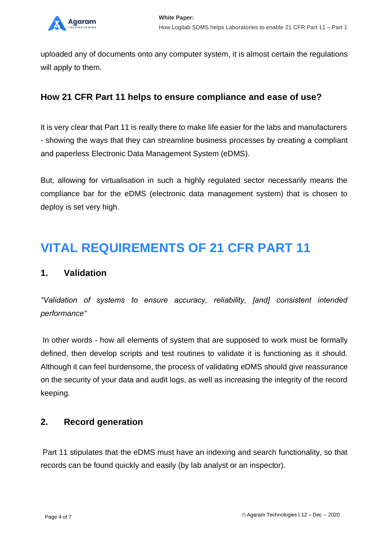

uploaded any of documents onto any computer system, it is almost certain the regulations will apply to them.

### <span id="page-3-0"></span>**How 21 CFR Part 11 helps to ensure compliance and ease of use?**

It is very clear that Part 11 is really there to make life easier for the labs and manufacturers - showing the ways that they can streamline business processes by creating a compliant and paperless Electronic Data Management System (eDMS).

But, allowing for virtualisation in such a highly regulated sector necessarily means the compliance bar for the eDMS (electronic data management system) that is chosen to deploy is set very high.

### <span id="page-3-1"></span>**VITAL REQUIREMENTS OF 21 CFR PART 11**

#### <span id="page-3-2"></span>**1. Validation**

*"Validation of systems to ensure accuracy, reliability, [and] consistent intended performance"*

In other words - how all elements of system that are supposed to work must be formally defined, then develop scripts and test routines to validate it is functioning as it should. Although it can feel burdensome, the process of validating eDMS should give reassurance on the security of your data and audit logs, as well as increasing the integrity of the record keeping.

#### <span id="page-3-3"></span>**2. Record generation**

Part 11 stipulates that the eDMS must have an indexing and search functionality, so that records can be found quickly and easily (by lab analyst or an inspector).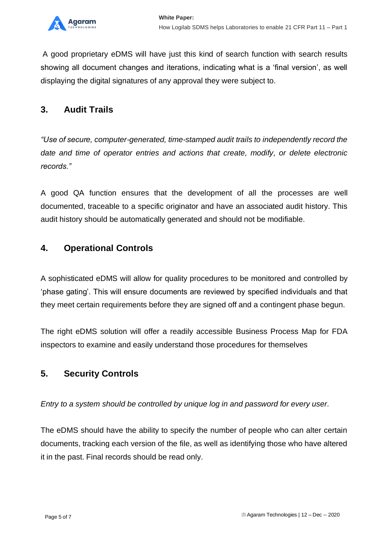

A good proprietary eDMS will have just this kind of search function with search results showing all document changes and iterations, indicating what is a 'final version', as well displaying the digital signatures of any approval they were subject to.

### <span id="page-4-0"></span>**3. Audit Trails**

*"Use of secure, computer-generated, time-stamped audit trails to independently record the date and time of operator entries and actions that create, modify, or delete electronic records."*

A good QA function ensures that the development of all the processes are well documented, traceable to a specific originator and have an associated audit history. This audit history should be automatically generated and should not be modifiable.

### <span id="page-4-1"></span>**4. Operational Controls**

A sophisticated eDMS will allow for quality procedures to be monitored and controlled by 'phase gating'. This will ensure documents are reviewed by specified individuals and that they meet certain requirements before they are signed off and a contingent phase begun.

The right eDMS solution will offer a readily accessible Business Process Map for FDA inspectors to examine and easily understand those procedures for themselves

### <span id="page-4-2"></span>**5. Security Controls**

*Entry to a system should be controlled by unique log in and password for every user.*

The eDMS should have the ability to specify the number of people who can alter certain documents, tracking each version of the file, as well as identifying those who have altered it in the past. Final records should be read only.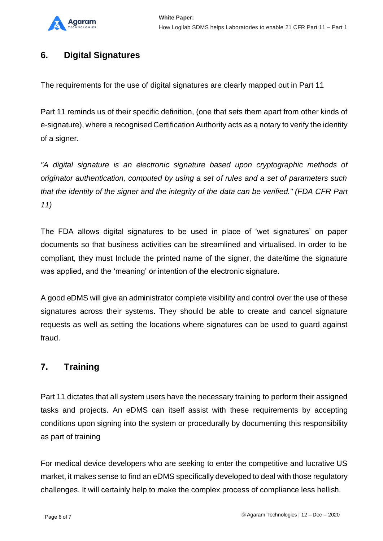

### <span id="page-5-0"></span>**6. Digital Signatures**

The requirements for the use of digital signatures are clearly mapped out in Part 11

Part 11 reminds us of their specific definition, (one that sets them apart from other kinds of e-signature), where a recognised Certification Authority acts as a notary to verify the identity of a signer.

*"A digital signature is an electronic signature based upon cryptographic methods of originator authentication, computed by using a set of rules and a set of parameters such that the identity of the signer and the integrity of the data can be verified." (FDA CFR Part 11)*

The FDA allows digital signatures to be used in place of 'wet signatures' on paper documents so that business activities can be streamlined and virtualised. In order to be compliant, they must Include the printed name of the signer, the date/time the signature was applied, and the 'meaning' or intention of the electronic signature.

A good eDMS will give an administrator complete visibility and control over the use of these signatures across their systems. They should be able to create and cancel signature requests as well as setting the locations where signatures can be used to guard against fraud.

#### <span id="page-5-1"></span>**7. Training**

Part 11 dictates that all system users have the necessary training to perform their assigned tasks and projects. An eDMS can itself assist with these requirements by accepting conditions upon signing into the system or procedurally by documenting this responsibility as part of training

For medical device developers who are seeking to enter the competitive and lucrative US market, it makes sense to find an eDMS specifically developed to deal with those regulatory challenges. It will certainly help to make the complex process of compliance less hellish.